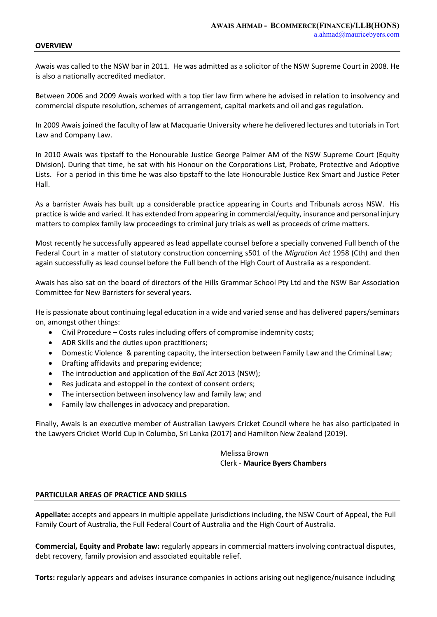## **OVERVIEW**

Awais was called to the NSW bar in 2011. He was admitted as a solicitor of the NSW Supreme Court in 2008. He is also a nationally accredited mediator.

Between 2006 and 2009 Awais worked with a top tier law firm where he advised in relation to insolvency and commercial dispute resolution, schemes of arrangement, capital markets and oil and gas regulation.

In 2009 Awais joined the faculty of law at Macquarie University where he delivered lectures and tutorials in Tort Law and Company Law.

In 2010 Awais was tipstaff to the Honourable Justice George Palmer AM of the NSW Supreme Court (Equity Division). During that time, he sat with his Honour on the Corporations List, Probate, Protective and Adoptive Lists. For a period in this time he was also tipstaff to the late Honourable Justice Rex Smart and Justice Peter Hall.

As a barrister Awais has built up a considerable practice appearing in Courts and Tribunals across NSW. His practice is wide and varied. It has extended from appearing in commercial/equity, insurance and personal injury matters to complex family law proceedings to criminal jury trials as well as proceeds of crime matters.

Most recently he successfully appeared as lead appellate counsel before a specially convened Full bench of the Federal Court in a matter of statutory construction concerning s501 of the *Migration Act* 1958 (Cth) and then again successfully as lead counsel before the Full bench of the High Court of Australia as a respondent.

Awais has also sat on the board of directors of the Hills Grammar School Pty Ltd and the NSW Bar Association Committee for New Barristers for several years.

He is passionate about continuing legal education in a wide and varied sense and has delivered papers/seminars on, amongst other things:

- Civil Procedure Costs rules including offers of compromise indemnity costs;
- ADR Skills and the duties upon practitioners;
- Domestic Violence & parenting capacity, the intersection between Family Law and the Criminal Law;
- Drafting affidavits and preparing evidence;
- The introduction and application of the *Bail Act* 2013 (NSW);
- Res judicata and estoppel in the context of consent orders;
- The intersection between insolvency law and family law; and
- Family law challenges in advocacy and preparation.

Finally, Awais is an executive member of Australian Lawyers Cricket Council where he has also participated in the Lawyers Cricket World Cup in Columbo, Sri Lanka (2017) and Hamilton New Zealand (2019).

> Melissa Brown Clerk - **Maurice Byers Chambers**

## **PARTICULAR AREAS OF PRACTICE AND SKILLS**

**Appellate:** accepts and appears in multiple appellate jurisdictions including, the NSW Court of Appeal, the Full Family Court of Australia, the Full Federal Court of Australia and the High Court of Australia.

**Commercial, Equity and Probate law:** regularly appears in commercial matters involving contractual disputes, debt recovery, family provision and associated equitable relief.

**Torts:** regularly appears and advises insurance companies in actions arising out negligence/nuisance including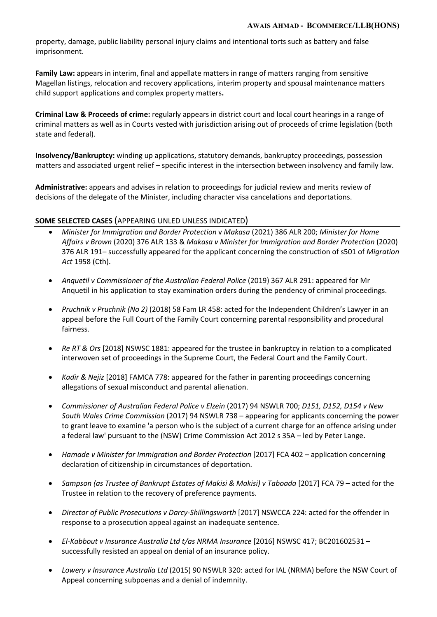property, damage, public liability personal injury claims and intentional torts such as battery and false imprisonment.

**Family Law:** appears in interim, final and appellate matters in range of matters ranging from sensitive Magellan listings, relocation and recovery applications, interim property and spousal maintenance matters child support applications and complex property matters**.**

**Criminal Law & Proceeds of crime:** regularly appears in district court and local court hearings in a range of criminal matters as well as in Courts vested with jurisdiction arising out of proceeds of crime legislation (both state and federal).

**Insolvency/Bankruptcy:** winding up applications, statutory demands, bankruptcy proceedings, possession matters and associated urgent relief – specific interest in the intersection between insolvency and family law.

**Administrative:** appears and advises in relation to proceedings for judicial review and merits review of decisions of the delegate of the Minister, including character visa cancelations and deportations.

## **SOME SELECTED CASES** (APPEARING UNLED UNLESS INDICATED)

- *Minister for Immigration and Border Protection* v *Makasa* (2021) 386 ALR 200; *Minister for Home Affairs v Brown* (2020) 376 ALR 133 & *Makasa v Minister for Immigration and Border Protection* (2020) 376 ALR 191– successfully appeared for the applicant concerning the construction of s501 of *Migration Act* 1958 (Cth).
- *Anquetil v Commissioner of the Australian Federal Police* (2019) 367 ALR 291: appeared for Mr Anquetil in his application to stay examination orders during the pendency of criminal proceedings.
- *Pruchnik v Pruchnik (No 2)* (2018) 58 Fam LR 458: acted for the Independent Children's Lawyer in an appeal before the Full Court of the Family Court concerning parental responsibility and procedural fairness.
- *Re RT & Ors* [2018] NSWSC 1881: appeared for the trustee in bankruptcy in relation to a complicated interwoven set of proceedings in the Supreme Court, the Federal Court and the Family Court.
- *Kadir & Nejiz* [2018] FAMCA 778: appeared for the father in parenting proceedings concerning allegations of sexual misconduct and parental alienation.
- *Commissioner of Australian Federal Police v Elzein* (2017) 94 NSWLR 700; *D151, D152, D154 v New South Wales Crime Commission* (2017) 94 NSWLR 738 – appearing for applicants concerning the power to grant leave to examine 'a person who is the subject of a current charge for an offence arising under a federal law' pursuant to the (NSW) Crime Commission Act 2012 s 35A – led by Peter Lange.
- *Hamade v Minister for Immigration and Border Protection* [2017] FCA 402 application concerning declaration of citizenship in circumstances of deportation.
- *Sampson (as Trustee of Bankrupt Estates of Makisi & Makisi) v Taboada* [2017] FCA 79 acted for the Trustee in relation to the recovery of preference payments.
- *Director of Public Prosecutions v Darcy-Shillingsworth* [2017] NSWCCA 224: acted for the offender in response to a prosecution appeal against an inadequate sentence.
- *El-Kabbout v Insurance Australia Ltd t/as NRMA Insurance* [2016] NSWSC 417; BC201602531 successfully resisted an appeal on denial of an insurance policy.
- *Lowery v Insurance Australia Ltd* (2015) 90 NSWLR 320: acted for IAL (NRMA) before the NSW Court of Appeal concerning subpoenas and a denial of indemnity.